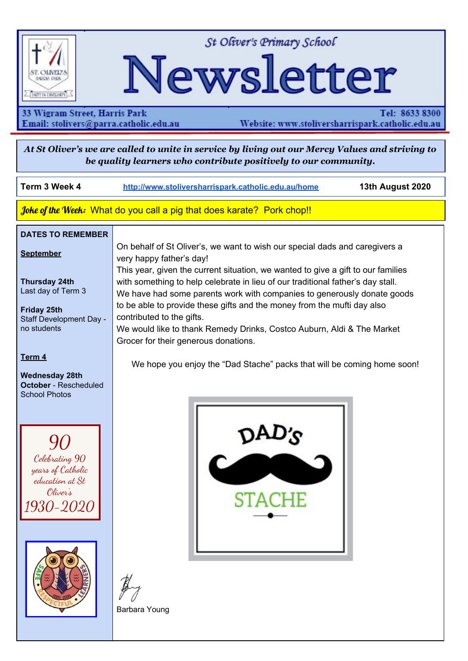

St Oliver's Primary School

# Newsletter

On behalf of St Oliver's, we want to wish our special dads and caregivers a

This year, given the current situation, we wanted to give a gift to our families with something to help celebrate in lieu of our traditional father's day stall. We have had some parents work with companies to generously donate goods

to be able to provide these gifts and the money from the mufti day also

We would like to thank Remedy Drinks, Costco Auburn, Aldi & The Market

33 Wigram Street, Harris Park Email: stolivers@parra.catholic.edu.au

Tel: 8633 8300 Website: www.stoliversharrispark.catholic.edu.au

At St Oliver's we are called to unite in service by living out our Mercy Values and striving to *be quality learners who contribute positively to our community.*

**Term 3 Week 4 [http://www.stoliversharrispark.catholic.edu.au/home](http://www.stoliversharrispark.catholic.edu.au/) 13th August 2020**

Joke of the Week: What do you call a pig that does karate? Pork chop!!

very happy father's day!

contributed to the gifts.

Grocer for their generous donations.

# **DATES TO REMEMBER**

**September**

**Thursday 24th** Last day of Term 3

**Friday 25th** Staff Development Day no students

**Term 4**

**Wednesday 28th October** - Rescheduled School Photos







Barbara Young

We hope you enjoy the "Dad Stache" packs that will be coming home soon!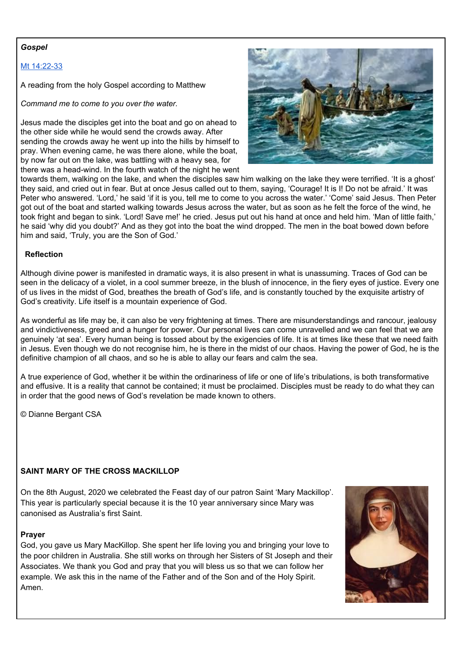# *Gospel*

# Mt [14:22-33](https://www.liturgyhelp.com/ritual/lectionary/LectionaryList%7Cmtw#mtw014)

A reading from the holy Gospel according to Matthew

*Command me to come to you over the water.*

Jesus made the disciples get into the boat and go on ahead to the other side while he would send the crowds away. After sending the crowds away he went up into the hills by himself to pray. When evening came, he was there alone, while the boat, by now far out on the lake, was battling with a heavy sea, for there was a head-wind. In the fourth watch of the night he went



towards them, walking on the lake, and when the disciples saw him walking on the lake they were terrified. 'It is a ghost' they said, and cried out in fear. But at once Jesus called out to them, saying, 'Courage! It is I! Do not be afraid.' It was Peter who answered. 'Lord,' he said 'if it is you, tell me to come to you across the water.' 'Come' said Jesus. Then Peter got out of the boat and started walking towards Jesus across the water, but as soon as he felt the force of the wind, he took fright and began to sink. 'Lord! Save me!' he cried. Jesus put out his hand at once and held him. 'Man of little faith,' he said 'why did you doubt?' And as they got into the boat the wind dropped. The men in the boat bowed down before him and said, 'Truly, you are the Son of God.'

# **Reflection**

Although divine power is manifested in dramatic ways, it is also present in what is unassuming. Traces of God can be seen in the delicacy of a violet, in a cool summer breeze, in the blush of innocence, in the fiery eyes of justice. Every one of us lives in the midst of God, breathes the breath of God's life, and is constantly touched by the exquisite artistry of God's creativity. Life itself is a mountain experience of God.

As wonderful as life may be, it can also be very frightening at times. There are misunderstandings and rancour, jealousy and vindictiveness, greed and a hunger for power. Our personal lives can come unravelled and we can feel that we are genuinely 'at sea'. Every human being is tossed about by the exigencies of life. It is at times like these that we need faith in Jesus. Even though we do not recognise him, he is there in the midst of our chaos. Having the power of God, he is the definitive champion of all chaos, and so he is able to allay our fears and calm the sea.

A true experience of God, whether it be within the ordinariness of life or one of life's tribulations, is both transformative and effusive. It is a reality that cannot be contained; it must be proclaimed. Disciples must be ready to do what they can in order that the good news of God's revelation be made known to others.

© Dianne Bergant CSA

# **SAINT MARY OF THE CROSS MACKILLOP**

On the 8th August, 2020 we celebrated the Feast day of our patron Saint 'Mary Mackillop'. This year is particularly special because it is the 10 year anniversary since Mary was canonised as Australia's first Saint.

## **Prayer**

God, you gave us Mary MacKillop. She spent her life loving you and bringing your love to the poor children in Australia. She still works on through her Sisters of St Joseph and their Associates. We thank you God and pray that you will bless us so that we can follow her example. We ask this in the name of the Father and of the Son and of the Holy Spirit. Amen.

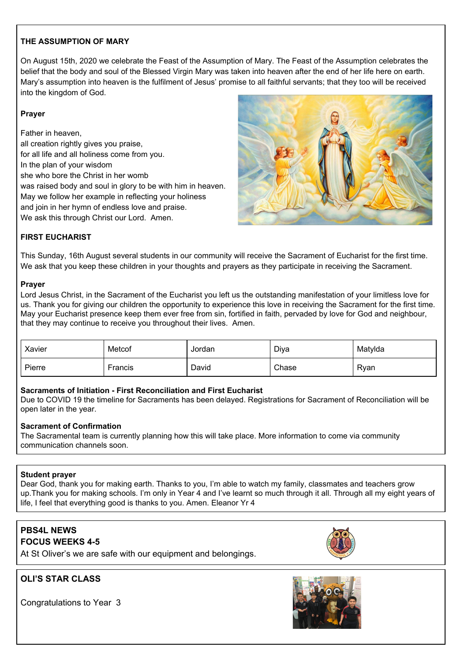# **THE ASSUMPTION OF MARY**

On August 15th, 2020 we celebrate the Feast of the Assumption of Mary. The Feast of the Assumption celebrates the belief that the body and soul of the Blessed Virgin Mary was taken into heaven after the end of her life here on earth. Mary's assumption into heaven is the fulfilment of Jesus' promise to all faithful servants; that they too will be received into the kingdom of God.

# **Prayer**

Father in heaven, all creation rightly gives you praise, for all life and all holiness come from you. In the plan of your wisdom she who bore the Christ in her womb was raised body and soul in glory to be with him in heaven. May we follow her example in reflecting your holiness and join in her hymn of endless love and praise. We ask this through Christ our Lord. Amen.



# **FIRST EUCHARIST**

This Sunday, 16th August several students in our community will receive the Sacrament of Eucharist for the first time. We ask that you keep these children in your thoughts and prayers as they participate in receiving the Sacrament.

## **Prayer**

Lord Jesus Christ, in the Sacrament of the Eucharist you left us the outstanding manifestation of your limitless love for us. Thank you for giving our children the opportunity to experience this love in receiving the Sacrament for the first time. May your Eucharist presence keep them ever free from sin, fortified in faith, pervaded by love for God and neighbour, that they may continue to receive you throughout their lives. Amen.

| Xavier | Metcof  | Jordan | Diya  | Matylda |
|--------|---------|--------|-------|---------|
| Pierre | Francis | David  | Chase | Ryan    |

## **Sacraments of Initiation - First Reconciliation and First Eucharist**

Due to COVID 19 the timeline for Sacraments has been delayed. Registrations for Sacrament of Reconciliation will be open later in the year.

## **Sacrament of Confirmation**

The Sacramental team is currently planning how this will take place. More information to come via community communication channels soon.

## **Student prayer**

Dear God, thank you for making earth. Thanks to you, I'm able to watch my family, classmates and teachers grow up.Thank you for making schools. I'm only in Year 4 and I've learnt so much through it all. Through all my eight years of life, I feel that everything good is thanks to you. Amen. Eleanor Yr 4

# **PBS4L NEWS FOCUS WEEKS 4-5**



At St Oliver's we are safe with our equipment and belongings.

# **OLI'S STAR CLASS**

Congratulations to Year 3